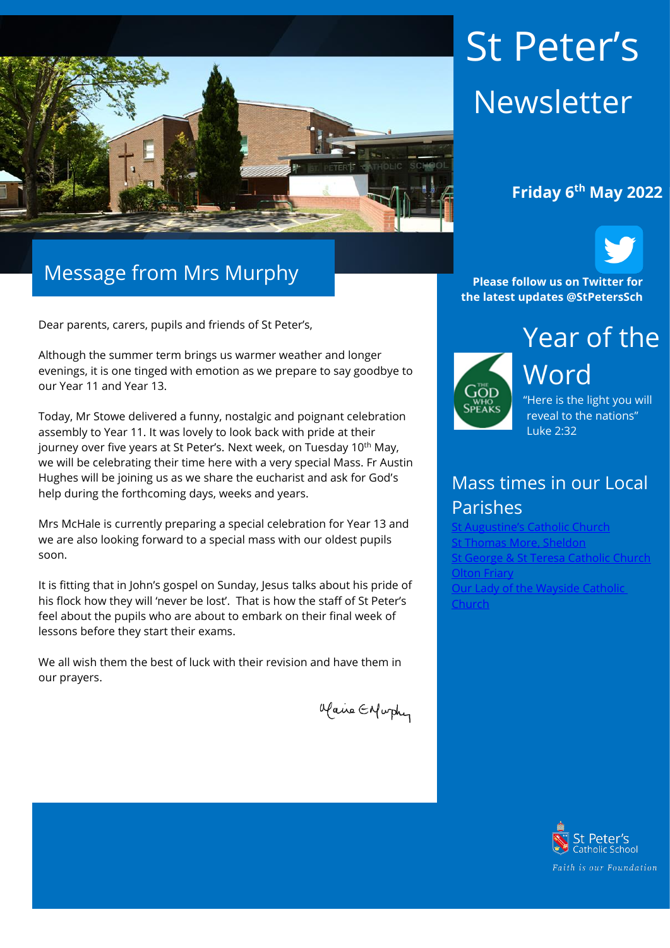

# Message from Mrs Murphy

Dear parents, carers, pupils and friends of St Peter's,

Although the summer term brings us warmer weather and longer evenings, it is one tinged with emotion as we prepare to say goodbye to our Year 11 and Year 13.

Today, Mr Stowe delivered a funny, nostalgic and poignant celebration assembly to Year 11. It was lovely to look back with pride at their journey over five years at St Peter's. Next week, on Tuesday 10<sup>th</sup> May, we will be celebrating their time here with a very special Mass. Fr Austin Hughes will be joining us as we share the eucharist and ask for God's help during the forthcoming days, weeks and years.

Mrs McHale is currently preparing a special celebration for Year 13 and we are also looking forward to a special mass with our oldest pupils soon.

It is fitting that in John's gospel on Sunday, Jesus talks about his pride of his flock how they will 'never be lost'. That is how the staff of St Peter's feel about the pupils who are about to embark on their final week of lessons before they start their exams.

We all wish them the best of luck with their revision and have them in our prayers.

Maine Enfurthy

# St Peter's **Newsletter**



**Please follow us on Twitter for the latest updates @StPetersSch**



Word "Here is the light you will

reveal to the nations" Luke 2:32

## Mass times in our Local Parishes

**Augustine's Catholic Church** homas More, Sheldon .<br>George & St Teresa Catholic Church **[Olton Friary](https://www.oltonfriary.org.uk/)** [Our Lady of the Wayside Catholic](http://ourladyofthewaysidechurchshirley.co.uk/)  [Church](http://ourladyofthewaysidechurchshirley.co.uk/)

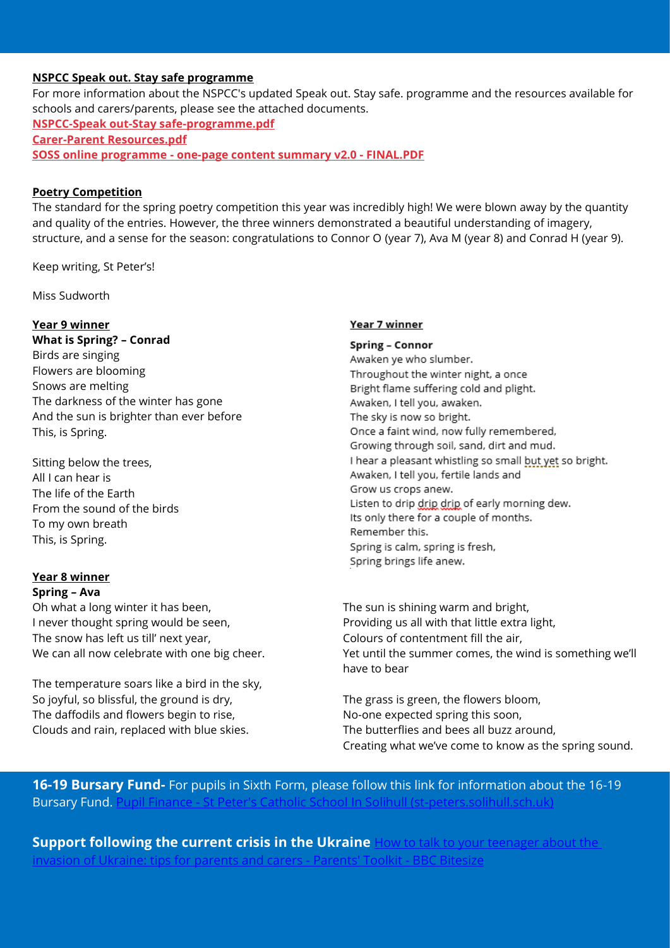### **NSPCC Speak out. Stay safe programme**

For more information about the NSPCC's updated Speak out. Stay safe. programme and the resources available for schools and carers/parents, please see the attached documents. **[NSPCC-Speak out-Stay safe-programme.pdf](https://protect-eu.mimecast.com/s/_EbICOPXgtZ5OxiveSqR?domain=lnks.gd) [Carer-Parent Resources.pdf](https://protect-eu.mimecast.com/s/p_FfCPzKjiNv6Xf1CJZC?domain=lnks.gd)**

**SOSS online programme - [one-page content summary v2.0 -](https://protect-eu.mimecast.com/s/Yk5dCQ6KkUlBRPik6_WD?domain=lnks.gd) FINAL.PDF**

#### **Poetry Competition**

The standard for the spring poetry competition this year was incredibly high! We were blown away by the quantity and quality of the entries. However, the three winners demonstrated a beautiful understanding of imagery, structure, and a sense for the season: congratulations to Connor O (year 7), Ava M (year 8) and Conrad H (year 9).

Keep writing, St Peter's!

Miss Sudworth

#### **Year 9 winner**

**What is Spring? – Conrad**  Birds are singing Flowers are blooming Snows are melting The darkness of the winter has gone And the sun is brighter than ever before This, is Spring.

Sitting below the trees, All I can hear is The life of the Earth From the sound of the birds To my own breath This, is Spring.

#### **Year 8 winner Spring – Ava**

Oh what a long winter it has been, I never thought spring would be seen, The snow has left us till' next year, We can all now celebrate with one big cheer.

The temperature soars like a bird in the sky, So joyful, so blissful, the ground is dry, The daffodils and flowers begin to rise, Clouds and rain, replaced with blue skies.

#### Year 7 winner

**Spring - Connor** Awaken ye who slumber. Throughout the winter night, a once Bright flame suffering cold and plight. Awaken, I tell you, awaken. The sky is now so bright. Once a faint wind, now fully remembered, Growing through soil, sand, dirt and mud. I hear a pleasant whistling so small but yet so bright. Awaken, I tell you, fertile lands and Grow us crops anew. Listen to drip drip drip of early morning dew. Its only there for a couple of months. Remember this. Spring is calm, spring is fresh, Spring brings life anew.

The sun is shining warm and bright, Providing us all with that little extra light, Colours of contentment fill the air, Yet until the summer comes, the wind is something we'll have to bear

The grass is green, the flowers bloom, No-one expected spring this soon, The butterflies and bees all buzz around, Creating what we've come to know as the spring sound.

**16-19 Bursary Fund-** For pupils in Sixth Form, please follow this link for information about the 16-19 Bursary Fund. I

**Support following the current crisis in the Ukraine How to talk to your teenager about the** [invasion of Ukraine: tips for parents and carers -](https://www.bbc.co.uk/bitesize/articles/zbrdjsg) Parents' Toolkit - BBC Bitesize